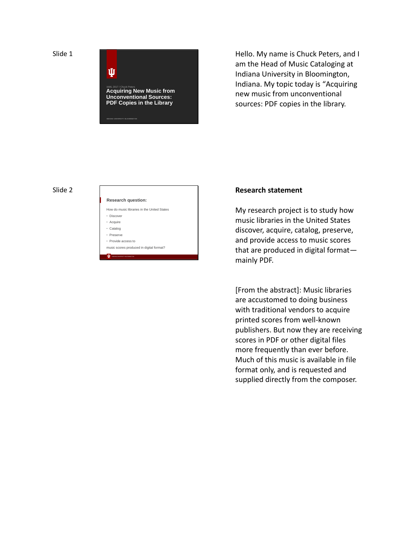

Hello. My name is Chuck Peters, and I am the Head of Music Cataloging at Indiana University in Bloomington, Indiana. My topic today is "Acquiring new music from unconventional sources: PDF copies in the library.

#### Slide 2

#### INDIANA UNIVERSITY BLOOMINGTON **Research question:** How do music libraries in the United States • Discover • Acquire • Catalog • Preserve • Provide access to music scores produced in digital format?

### **Research statement**

My research project is to study how music libraries in the United States discover, acquire, catalog, preserve, and provide access to music scores that are produced in digital format mainly PDF.

[From the abstract]: Music libraries are accustomed to doing business with traditional vendors to acquire printed scores from well-known publishers. But now they are receiving scores in PDF or other digital files more frequently than ever before. Much of this music is available in file format only, and is requested and supplied directly from the composer.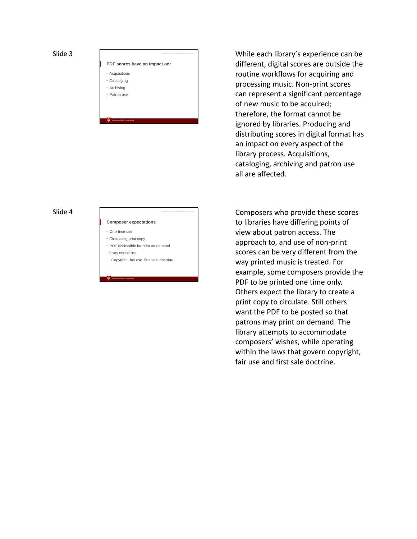**PDF scores have an impact on:**

- Acquisitions
- Cataloging
- Archiving • Patron use

INDIANA UNIVERSITY BLOOMINGTON

#### Slide 4

- **Composer expectations**
- One-time use
- Circulating print copy
- PDF accessible for print on demand
- Library concerns:

INDIANA UNIVERSITY BLOOMINGTON

Copyright, fair use, first sale doctrine

While each library 's experience can be different, digital scores are outside the routine workflows for acquiring and processing music. Non -print scores can represent a significant percentage of new music to be acquired; therefore, the format cannot be ignored by libraries. Producing and distributing scores in digital format has an impact on every aspect of the library process. Acquisitions, cataloging, archiving and patron use all are affected.

Composers who provide these scores to libraries have differing points of view about patron access. The approach to, and use of non -print scores can be very different from the way printed music is treated. For example, some composers provide the PDF to be printed one time only. Others expect the library to create a print copy to circulate. Still others want the PDF to be posted so that patrons may print on demand. The library attempts to accommodate composers' wishes, while operating within the laws that govern copyright, fair use and first sale doctrine.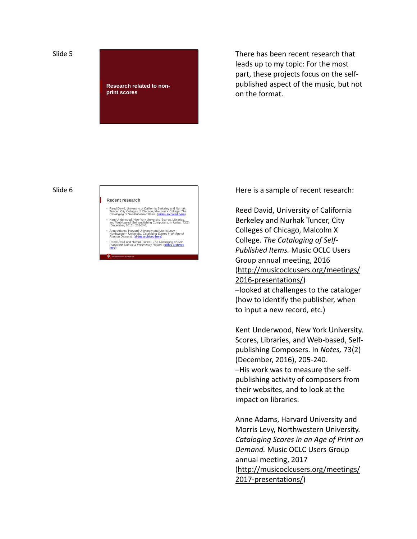**Research related to nonprint scores**

There has been recent research that leads up to my topic: For the most part, these projects focus on the self published aspect of the music, but not on the format.

#### Slide 6

#### **Recent research**

INDIANA UNIVERSITY BLOOMINGTON

- Reed David, University of California Berkeley and Nurhak<br>Tuncer, City Colleges of Chicago, Malcolm X College. *The*<br>Cataloging of Self-Published Items. (slides archived here)
- Kent Underwood, New York University. Scores, Libraries,<br>and Web-based, Self-publishing Composers. In *Notes, 73*(2)<br>(December, 2016), 205-240. Anne Adams, Harvard University and Morris Levy,<br>Northwestern University. *Cataloging Scores in an Age of*<br>*Print on Demand.* (<mark>slides archived here</mark>)
- Reed David and Nurhak Tuncer. *The Cataloging of Self- Published Scores: a Preliminary Report.* (slides archived here)

Here is a sample of recent research:

Reed David, University of California Berkeley and Nurhak Tuncer, City Colleges of Chicago, Malcolm X College. *The Cataloging of Self-Published Items.* Music OCLC Users Group annual meeting, 2016 (http://musicoclcusers.org/meetings/ 2016 -presentations/) –looked at challenges to the cataloger (how to identify the publisher, when to input a new record, etc.)

Kent Underwood, New York University. Scores, Libraries, and Web -based, Self publishing Composers. In *Notes,* 73(2) (December, 2016), 205 -240. –His work was to measure the self publishing activity of composers from their websites, and to look at the impact on libraries.

Anne Adams, Harvard University and Morris Levy, Northwestern University. *Cataloging Scores in an Age of Print on Demand.* Music OCLC Users Group annual meeting, 2017<br>(http://musicoclcusers.org/meetings/ 2017 -presentations/)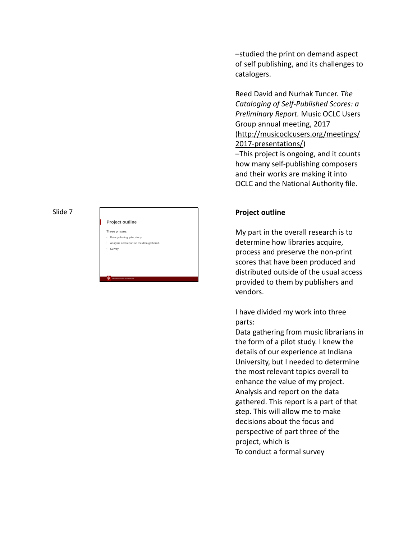## **Project outline**

Three phases:

- Data gathering: pilot study • Analysis and report on the data gathered.
- Survey

INDIANA UNIVERSITY BLOOMINGTON

–studied the print on demand aspect of self publishing, and its challenges to catalogers.

Reed David and Nurhak Tuncer. *The Cataloging of Self-Published Scores: a Preliminary Report.* Music OCLC Users Group annual meeting, 2017 (http://musicoclcusers.org/meetings/ 2017 -presentations/)

–This project is ongoing, and it counts how many self -publishing composers and their works are making it into OCLC and the National Authority file.

# **Project outline**

My part in the overall research is to determine how libraries acquire, process and preserve the non -print scores that have been produced and distributed outside of the usual access provided to them by publishers and vendors.

I have divided my work into three parts:

Data gathering from music librarians in the form of a pilot study. I knew the details of our experience at Indiana University, but I needed to determine the most relevant topics overall to enhance the value of my project. Analysis and report on the data gathered. This report is a part of that step. This will allow me to make decisions about the focus and perspective of part three of the project, which is To conduct a formal survey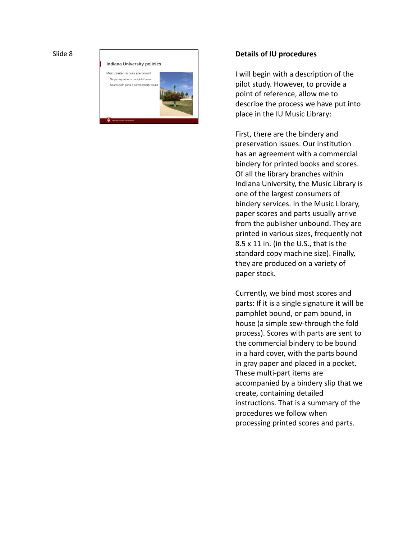

#### **Details of IU procedures**

I will begin with a description of the pilot study. However, to provide a point of reference, allow me to describe the process we have put into place in the IU Music Library:

First, there are the bindery and preservation issues. Our institution has an agreement with a commercial bindery for printed books and scores. Of all the library branches within Indiana University, the Music Library is one of the largest consumers of bindery services. In the Music Library, paper scores and parts usually arrive from the publisher unbound. They are printed in various sizes, frequently not 8.5 x 11 in. (in the U.S., that is the standard copy machine size). Finally, they are produced on a variety of paper stock.

Currently, we bind most scores and parts: If it is a single signature it will be pamphlet bound, or pam bound, in house (a simple sew -through the fold process). Scores with parts are sent to the commercial bindery to be bound in a hard cover, with the parts bound in gray paper and placed in a pocket. These multi -part items are accompanied by a bindery slip that we create, containing detailed instructions. That is a summary of the procedures we follow when processing printed scores and parts.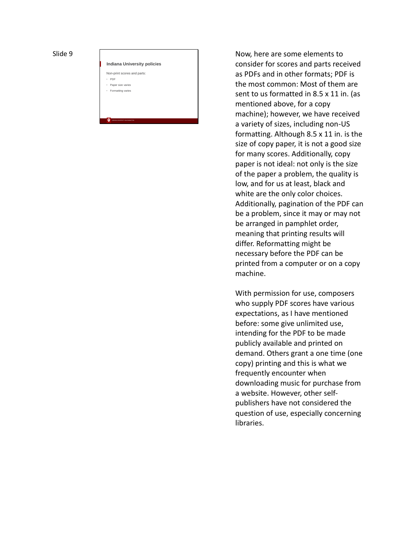**Indiana University policies** Non-print scores and parts: PDF

• Paper size varies • Formatting varies

INDIANA UNIVERSITY BLOOMINGTON

Now, here are some elements to consider for scores and parts received as PDFs and in other formats; PDF is the most common: Most of them are sent to us formatted in 8.5 x 11 in. (as mentioned above, for a copy machine); however, we have received a variety of sizes, including non -US formatting. Although 8.5 x 11 in. is the size of copy paper, it is not a good size for many scores. Additionally, copy paper is not ideal: not only is the size of the paper a problem, the quality is low, and for us at least, black and white are the only color choices. Additionally, pagination of the PDF can be a problem, since it may or may not be arranged in pamphlet order, meaning that printing results will differ. Reformatting might be necessary before the PDF can be printed from a computer or on a copy machine.

With permission for use, composers who supply PDF scores have various expectations, as I have mentioned before: some give unlimited use, intending for the PDF to be made publicly available and printed on demand. Others grant a one time (one copy) printing and this is what we frequently encounter when downloading music for purchase from a website. However, other self publishers have not considered the question of use, especially concerning libraries.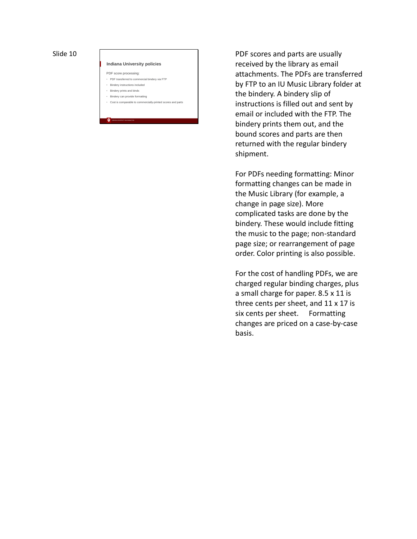#### **Indiana University policies**

- PDF score processing:
- PDF transferred to commercial bindery via FTP
- Bindery instructions included • Bindery prints and binds
- Bindery can provide formatting

INDIANA UNIVERSITY BLOOMINGTON

• Cost is comparable to commercially-printed scores and parts

PDF scores and parts are usually received by the library as email attachments. The PDFs are transferred by FTP to an IU Music Library folder at the bindery. A bindery slip of instructions is filled out and sent by email or included with the FTP. The bindery prints them out, and the bound scores and parts are then returned with the regular bindery shipment.

For PDFs needing formatting: Minor formatting changes can be made in the Music Library (for example, a change in page size). More complicated tasks are done by the bindery. These would include fitting the music to the page; non -standard page size; or rearrangement of page order. Color printing is also possible.

For the cost of handling PDFs, we are charged regular binding charges, plus a small charge for paper. 8.5 x 11 is three cents per sheet, and 11 x 17 is six cents per sheet. Formatting changes are priced on a case -by -case basis.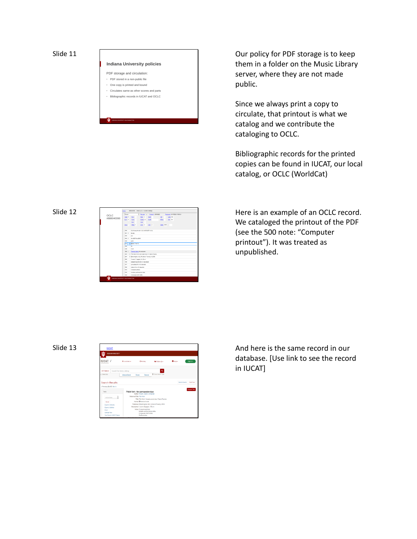# **Indiana University policies**

- PDF storage and circulation: • PDF stored in a non-public file
- One copy is printed and bound

INDIANA UNIVERSITY BLOOMINGTON

- Circulates same as other scores and parts
- Bibliographic records in IUCAT and OCLC

Our policy for PDF storage is to keep them in a folder on the Music Library server, where they are not made public.

Since we always print a copy to circulate, that printout is what we catalog and we contribute the cataloging to OCLC.

Bibliographic records for the printed copies can be found in IUCAT, our local catalog, or OCLC (WorldCat)

#### Slide 12



Here is an example of an OCLC record. We cataloged the printout of the PDF (see the 500 note: "Computer printout"). It was treated as unpublished.

Slide 13

| <b>IUCAT</b><br><b>INDUMA UNIVERSITY</b>                                           |                                                                                                   |                                                                                                                                                                                                                    |                          |            |                                  |
|------------------------------------------------------------------------------------|---------------------------------------------------------------------------------------------------|--------------------------------------------------------------------------------------------------------------------------------------------------------------------------------------------------------------------|--------------------------|------------|----------------------------------|
| IUCAT /                                                                            | <b>Q</b> Locations w                                                                              | <b>O</b> Hallory                                                                                                                                                                                                   | <b>M</b> Folders (2) +   | $0$ Help v | Sign in »                        |
| All Fields +<br>Search the library catalog<br>Online Only<br><b>Search Results</b> | Advanced Search                                                                                   | <b>Received</b><br>Browse                                                                                                                                                                                          | Q<br>O Chema Search Type |            | <b>Back to Search 2 art Over</b> |
| « Previous (1 of 2   Next x<br>Tools                                               |                                                                                                   | Pitch-fork : for percussion duo<br>Author Travers, Aaron, composer.                                                                                                                                                |                          |            | <b>Request This</b>              |
| Add to folder<br>City w<br><b>Croot to Returnion</b><br><b>Ciport to Endhirle</b>  |                                                                                                   | Preferred Title Pitch-frek<br>Title Pitch-fork: for percussion duo / Aaron Travers.<br>Format Witterical Score<br>Published Elfoomination, Ind.]: (Aaron Travers), 2008.<br>Dascription 1 score (11 pages) : 36 cm |                          |            |                                  |
| Freed<br>Librarian View<br>View Record in JJCAT Classic                            | Notes Computer printout.<br>Includes performance notes.<br>Compassed 2007-2008.<br>Staff notation |                                                                                                                                                                                                                    |                          |            |                                  |

And here is the same record in our database. [Use link to see the record in IUCAT]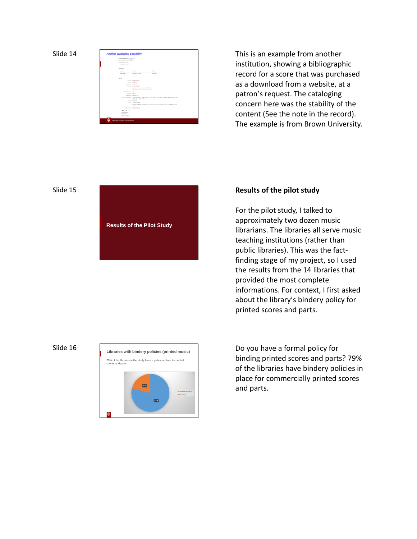

This is an example from another institution, showing a bibliographic record for a score that was purchased as a download from a website, at a patron 's request. The cataloging concern here was the stability of the content (See the note in the record). The example is from Brown University.

#### Slide 15

**Results of the Pilot Study**

## **Results of the pilot study**

For the pilot study, I talked to approximately two dozen music librarians. The libraries all serve music teaching institutions (rather than public libraries). This was the fact finding stage of my project, so I used the results from the 14 libraries that provided the most complete informations. For context, I first asked about the library 's bindery policy for printed scores and parts.



Do you have a formal policy for binding printed scores and parts? 79% of the libraries have bindery policies in place for commercially printed scores and parts.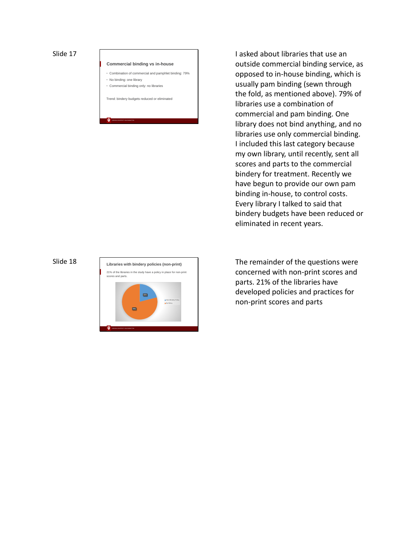#### **Commercial binding vs in-house**

- Combination of commercial and pamphlet binding: 79%
- No binding: one library

INDIANA UNIVERSITY BLOOMINGTON

• Commercial binding only: no libraries

Trend: bindery budgets reduced or eliminated

opposed to in -house binding, which is usually pam binding (sewn through the fold, as mentioned above). 79% of libraries use a combination of commercial and pam binding. One library does not bind anything, and no libraries use only commercial binding. I included this last category because my own library, until recently, sent all scores and parts to the commercial bindery for treatment. Recently we have begun to provide our own pam binding in -house, to control costs. Every library I talked to said that bindery budgets have been reduced or eliminated in recent years.

I asked about libraries that use an outside commercial binding service, as

#### Slide 18



The remainder of the questions were concerned with non -print scores and parts. 21% of the libraries have developed policies and practices for non -print scores and parts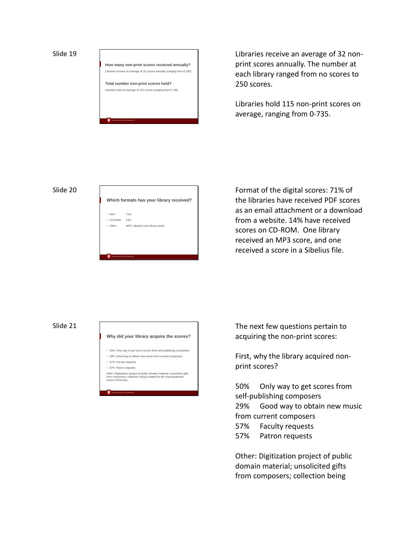**How many non-print scores received annually?** Libraries receive an average of 32 scores annually (ranging from 0-250) **Total number non-print scores held?** Libraries hold an average of 115 scores (ranging from 0-735)

INDIANA UNIVERSITY BLOOMINGTON

Libraries receive an average of 32 nonprint scores annually. The number at each library ranged from no scores to 250 scores.

Libraries hold 115 non-print scores on average, ranging from 0-735.

#### Slide 20



Format of the digital scores: 71% of the libraries have received PDF scores as an email attachment or a download from a website. 14% have received scores on CD-ROM. One library received an MP3 score, and one received a score in a Sibelius file.

#### Slide 21

# INDIANA UNIVERSITY BLOOMINGTON **Why did your library acquire the scores?** • 50% Only way to get some scores from self-publishing composers • 29% Good way to obtain new music from current composers • 57% Faculty requests • 57% Patron requests Other: Digitization project of public domain material; unsolicited gifts<br>from composers; collection being created for the improvisational<br>music community

The next few questions pertain to acquiring the non-print scores:

First, why the library acquired nonprint scores?

50% Only way to get scores from self-publishing composers 29% Good way to obtain new music from current composers

- 57% Faculty requests
- 57% Patron requests

Other: Digitization project of public domain material; unsolicited gifts from composers; collection being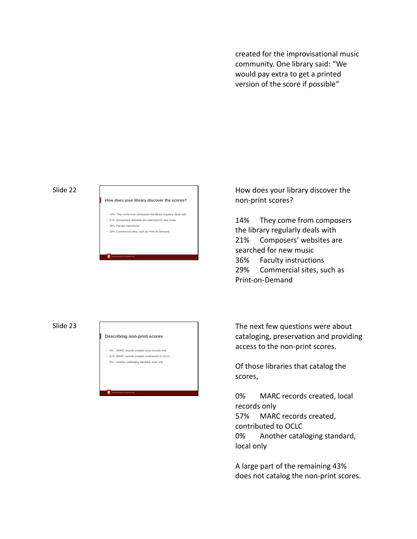created for the improvisational music community. One library said: "We would pay extra to get a printed version of the score if possible"

#### Slide 22

#### **How does your library discover the scores?**

- 14% They come from composers the library regularly deals with
- 21% Composers' websites are searched for new music • 36% Faculty instructions
- 29% Commercial sites, such as Print-on-Demand

INDIANA UNIVERSITY BLOOMINGTON

#### Slide 23

#### **Describing non-print scores**

- 0% MARC records created, local records only
- 57% MARC records created, contributed to OCLC

INDIANA UNIVERSITY BLOOMINGTON

• 0% Another cataloging standard, local only

How does your library discover the non-print scores?

14% They come from composers the library regularly deals with 21% Composers' websites are searched for new music 36% Faculty instructions 29% Commercial sites, such as Print-on-Demand

The next few questions were about cataloging, preservation and providing access to the non-print scores.

Of those libraries that catalog the scores,

0% MARC records created, local records only 57% MARC records created, contributed to OCLC 0% Another cataloging standard, local only

A large part of the remaining 43% does not catalog the non-print scores.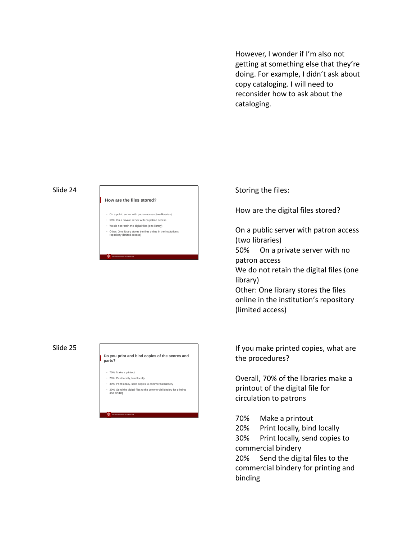However, I wonder if I'm also not getting at something else that they're doing. For example, I didn't ask about copy cataloging. I will need to reconsider how to ask about the cataloging.

#### Slide 24

#### **How are the files stored?**

- On a public server with patron access (two libraries)
- 50% On a private server with no patron access
- We do not retain the digital files (one library)

INDIANA UNIVERSITY BLOOMINGTON

• Other: One library stores the files online in the institution's repository (limited access)

#### Slide 25

#### **Do you print and bind copies of the scores and parts?** • 70% Make a printout • 20% Print locally, bind locally • 30% Print locally, send copies to commercial bindery

• 20% Send the digital files to the commercial bindery for printing and binding

INDIANA UNIVERSITY BLOOMINGTON

## Storing the files:

How are the digital files stored?

On a public server with patron access (two libraries)

50% On a private server with no patron access

We do not retain the digital files (one library)

Other: One library stores the files online in the institution's repository (limited access)

If you make printed copies, what are the procedures?

Overall, 70% of the libraries make a printout of the digital file for circulation to patrons

70% Make a printout

20% Print locally, bind locally 30% Print locally, send copies to commercial bindery

20% Send the digital files to the commercial bindery for printing and binding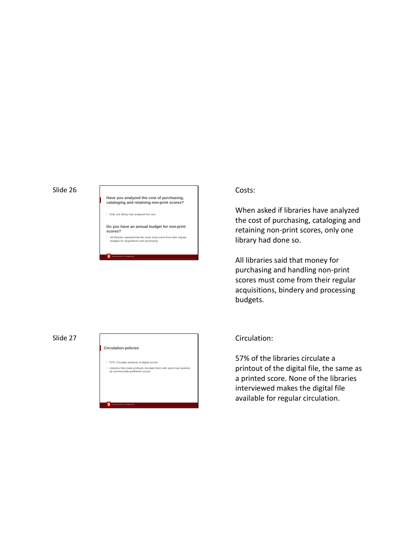**Have you analyzed the cost of purchasing, cataloging and retaining non-print scores?**

• Only one library has analyzed the cost

INDIANA UNIVERSITY BLOOMINGTON

**Do you have an annual budget for non-print scores?**

All libraries reported that the costs must come from their regular budgets for acquisitions and processing

#### Slide 27



## Costs:

When asked if libraries have analyzed the cost of purchasing, cataloging and retaining non -print scores, only one library had done so.

All libraries said that money for purchasing and handling non -print scores must come from their regular acquisitions, bindery and processing budgets.

## Circulation:

57% of the libraries circulate a printout of the digital file, the same as a printed score. None of the libraries interviewed makes the digital file available for regular circulation.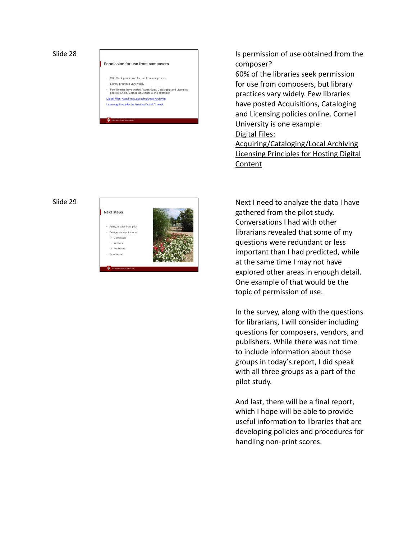# **Permission for use from composers**

- 60% Seek permission for use from composers
- Library practices vary widely
- Few libraries have posted Acquisitions, Cataloging and Licensing policies online. Cornell University is one example: Digital Files: Acquiring/Cataloging/Local Archiving
- **<u>Ising Principles for Hosting Digital Content</u>**

INDIANA UNIVERSITY BLOOMINGTON

Is permission of use obtained from the composer?

60% of the libraries seek permission for use from composers, but library practices vary widely. Few libraries have posted Acquisitions, Cataloging and Licensing policies online. Cornell University is one example:

Digital Files:<br>Acquiring/Cataloging/Local Archiving Licensing Principles for Hosting Digital Content

#### Slide 29



Next I need to analyze the data I have gathered from the pilot study. Conversations I had with other librarians revealed that some of my questions were redundant or less important than I had predicted, while at the same time I may not have explored other areas in enough detail. One example of that would be the topic of permission of use.

In the survey, along with the questions for librarians, I will consider including questions for composers, vendors, and publishers. While there was not time to include information about those groups in today 's report, I did speak with all three groups as a part of the pilot study.

And last, there will be a final report, which I hope will be able to provide useful information to libraries that are developing policies and procedures for handling non -print scores.